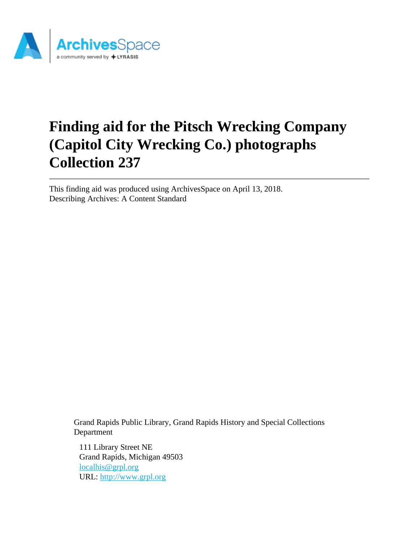

# **Finding aid for the Pitsch Wrecking Company (Capitol City Wrecking Co.) photographs Collection 237**

This finding aid was produced using ArchivesSpace on April 13, 2018. Describing Archives: A Content Standard

> Grand Rapids Public Library, Grand Rapids History and Special Collections Department

111 Library Street NE Grand Rapids, Michigan 49503 [localhis@grpl.org](mailto:localhis@grpl.org) URL:<http://www.grpl.org>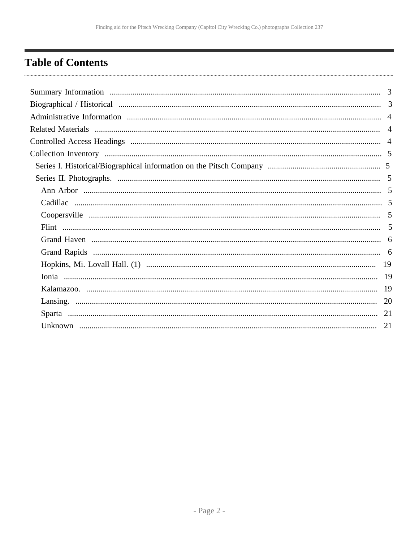## <span id="page-1-0"></span>**Table of Contents**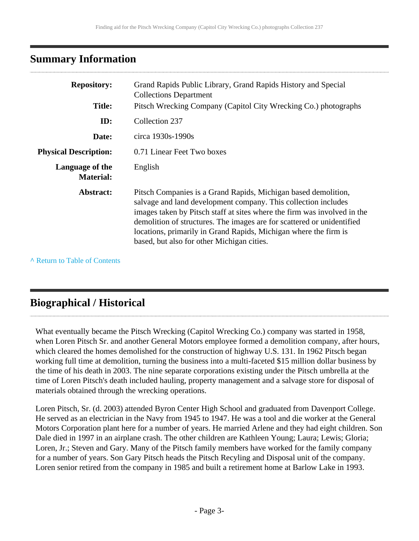### <span id="page-2-0"></span>**Summary Information**

| <b>Repository:</b><br><b>Title:</b> | Grand Rapids Public Library, Grand Rapids History and Special<br><b>Collections Department</b><br>Pitsch Wrecking Company (Capitol City Wrecking Co.) photographs                                                                                                                                                                                                                                        |
|-------------------------------------|----------------------------------------------------------------------------------------------------------------------------------------------------------------------------------------------------------------------------------------------------------------------------------------------------------------------------------------------------------------------------------------------------------|
| ID:                                 | Collection 237                                                                                                                                                                                                                                                                                                                                                                                           |
| Date:                               | circa 1930s-1990s                                                                                                                                                                                                                                                                                                                                                                                        |
| <b>Physical Description:</b>        | 0.71 Linear Feet Two boxes                                                                                                                                                                                                                                                                                                                                                                               |
| Language of the<br><b>Material:</b> | English                                                                                                                                                                                                                                                                                                                                                                                                  |
| Abstract:                           | Pitsch Companies is a Grand Rapids, Michigan based demolition,<br>salvage and land development company. This collection includes<br>images taken by Pitsch staff at sites where the firm was involved in the<br>demolition of structures. The images are for scattered or unidentified<br>locations, primarily in Grand Rapids, Michigan where the firm is<br>based, but also for other Michigan cities. |

**^** [Return to Table of Contents](#page-1-0)

## <span id="page-2-1"></span>**Biographical / Historical**

What eventually became the Pitsch Wrecking (Capitol Wrecking Co.) company was started in 1958, when Loren Pitsch Sr. and another General Motors employee formed a demolition company, after hours, which cleared the homes demolished for the construction of highway U.S. 131. In 1962 Pitsch began working full time at demolition, turning the business into a multi-faceted \$15 million dollar business by the time of his death in 2003. The nine separate corporations existing under the Pitsch umbrella at the time of Loren Pitsch's death included hauling, property management and a salvage store for disposal of materials obtained through the wrecking operations.

Loren Pitsch, Sr. (d. 2003) attended Byron Center High School and graduated from Davenport College. He served as an electrician in the Navy from 1945 to 1947. He was a tool and die worker at the General Motors Corporation plant here for a number of years. He married Arlene and they had eight children. Son Dale died in 1997 in an airplane crash. The other children are Kathleen Young; Laura; Lewis; Gloria; Loren, Jr.; Steven and Gary. Many of the Pitsch family members have worked for the family company for a number of years. Son Gary Pitsch heads the Pitsch Recyling and Disposal unit of the company. Loren senior retired from the company in 1985 and built a retirement home at Barlow Lake in 1993.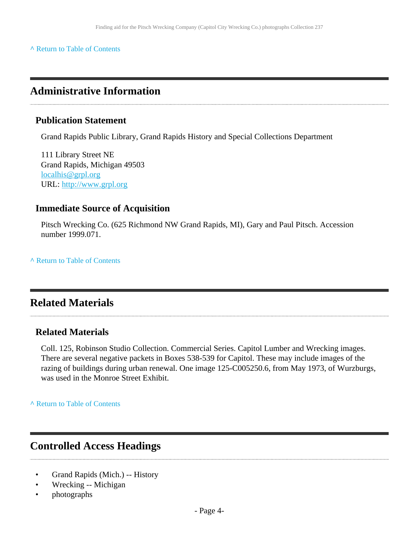#### **^** [Return to Table of Contents](#page-1-0)

### <span id="page-3-0"></span>**Administrative Information**

#### **Publication Statement**

Grand Rapids Public Library, Grand Rapids History and Special Collections Department

111 Library Street NE Grand Rapids, Michigan 49503 [localhis@grpl.org](mailto:localhis@grpl.org) URL:<http://www.grpl.org>

#### **Immediate Source of Acquisition**

Pitsch Wrecking Co. (625 Richmond NW Grand Rapids, MI), Gary and Paul Pitsch. Accession number 1999.071.

**^** [Return to Table of Contents](#page-1-0)

### <span id="page-3-1"></span>**Related Materials**

#### **Related Materials**

Coll. 125, Robinson Studio Collection. Commercial Series. Capitol Lumber and Wrecking images. There are several negative packets in Boxes 538-539 for Capitol. These may include images of the razing of buildings during urban renewal. One image 125-C005250.6, from May 1973, of Wurzburgs, was used in the Monroe Street Exhibit.

**^** [Return to Table of Contents](#page-1-0)

#### <span id="page-3-2"></span>**Controlled Access Headings**

- Grand Rapids (Mich.) -- History
- Wrecking -- Michigan
- photographs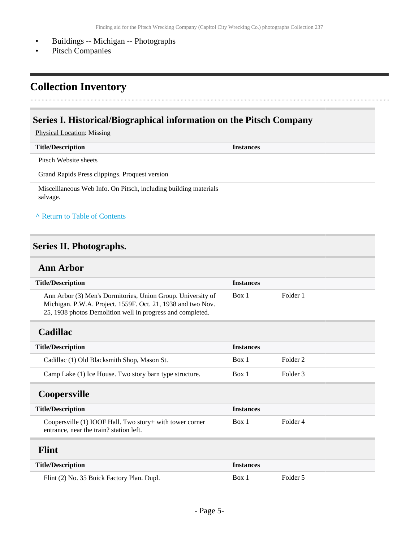- Buildings -- Michigan -- Photographs
- Pitsch Companies

### <span id="page-4-0"></span>**Collection Inventory**

#### <span id="page-4-1"></span>**Series I. Historical/Biographical information on the Pitsch Company**

Physical Location: Missing

| <b>Title/Description</b>                       | <b>Instances</b> |
|------------------------------------------------|------------------|
| Pitsch Website sheets                          |                  |
| Grand Rapids Press clippings. Proquest version |                  |

Miscelllaneous Web Info. On Pitsch, including building materials salvage.

#### **^** [Return to Table of Contents](#page-1-0)

#### <span id="page-4-2"></span>**Series II. Photographs.**

#### <span id="page-4-3"></span>**Ann Arbor**

<span id="page-4-6"></span><span id="page-4-5"></span><span id="page-4-4"></span>

| <b>Title/Description</b>                                                                                                                                                                 | <b>Instances</b> |                     |
|------------------------------------------------------------------------------------------------------------------------------------------------------------------------------------------|------------------|---------------------|
| Ann Arbor (3) Men's Dormitories, Union Group. University of<br>Michigan. P.W.A. Project. 1559F. Oct. 21, 1938 and two Nov.<br>25, 1938 photos Demolition well in progress and completed. | Box 1            | Folder 1            |
| <b>Cadillac</b>                                                                                                                                                                          |                  |                     |
| <b>Title/Description</b>                                                                                                                                                                 | <b>Instances</b> |                     |
| Cadillac (1) Old Blacksmith Shop, Mason St.                                                                                                                                              | Box 1            | Folder <sub>2</sub> |
| Camp Lake (1) Ice House. Two story barn type structure.                                                                                                                                  | Box 1            | Folder 3            |
| <b>Coopersville</b>                                                                                                                                                                      |                  |                     |
| <b>Title/Description</b>                                                                                                                                                                 | <b>Instances</b> |                     |
| Coopersville (1) IOOF Hall. Two story+ with tower corner<br>entrance, near the train? station left.                                                                                      | Box 1            | Folder <sub>4</sub> |
| <b>Flint</b>                                                                                                                                                                             |                  |                     |
| <b>Title/Description</b>                                                                                                                                                                 | <b>Instances</b> |                     |
| Flint (2) No. 35 Buick Factory Plan. Dupl.                                                                                                                                               | Box 1            | Folder 5            |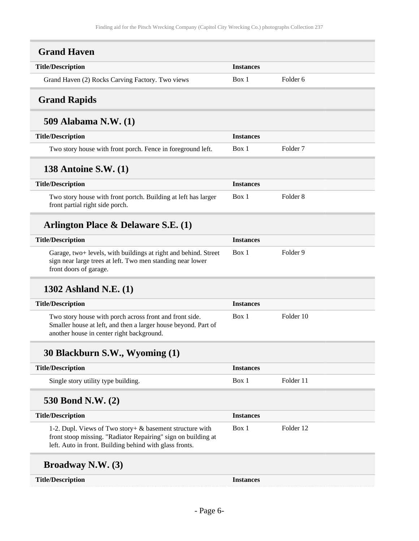<span id="page-5-1"></span><span id="page-5-0"></span>

| <b>Grand Haven</b>                                                                                                                                                                   |                  |                     |  |
|--------------------------------------------------------------------------------------------------------------------------------------------------------------------------------------|------------------|---------------------|--|
| <b>Title/Description</b>                                                                                                                                                             | <b>Instances</b> |                     |  |
| Grand Haven (2) Rocks Carving Factory. Two views                                                                                                                                     | Box 1            | Folder <sub>6</sub> |  |
| <b>Grand Rapids</b>                                                                                                                                                                  |                  |                     |  |
| 509 Alabama N.W. (1)                                                                                                                                                                 |                  |                     |  |
| <b>Title/Description</b>                                                                                                                                                             | <b>Instances</b> |                     |  |
| Two story house with front porch. Fence in foreground left.                                                                                                                          | Box 1            | Folder 7            |  |
| <b>138 Antoine S.W. (1)</b>                                                                                                                                                          |                  |                     |  |
| <b>Title/Description</b>                                                                                                                                                             | <b>Instances</b> |                     |  |
| Two story house with front portch. Building at left has larger<br>front partial right side porch.                                                                                    | Box 1            | Folder <sub>8</sub> |  |
| Arlington Place & Delaware S.E. (1)                                                                                                                                                  |                  |                     |  |
| <b>Title/Description</b>                                                                                                                                                             | <b>Instances</b> |                     |  |
| Garage, two+ levels, with buildings at right and behind. Street<br>sign near large trees at left. Two men standing near lower<br>front doors of garage.                              | Box 1            | Folder <sub>9</sub> |  |
| 1302 Ashland N.E. (1)                                                                                                                                                                |                  |                     |  |
| <b>Title/Description</b>                                                                                                                                                             | <b>Instances</b> |                     |  |
| Two story house with porch across front and front side.<br>Smaller house at left, and then a larger house beyond. Part of<br>another house in center right background.               | Box 1            | Folder 10           |  |
| 30 Blackburn S.W., Wyoming (1)                                                                                                                                                       |                  |                     |  |
| <b>Title/Description</b>                                                                                                                                                             | <b>Instances</b> |                     |  |
| Single story utility type building.                                                                                                                                                  | Box 1            | Folder 11           |  |
| 530 Bond N.W. (2)                                                                                                                                                                    |                  |                     |  |
| <b>Title/Description</b>                                                                                                                                                             | <b>Instances</b> |                     |  |
| 1-2. Dupl. Views of Two story+ & basement structure with<br>front stoop missing. "Radiator Repairing" sign on building at<br>left. Auto in front. Building behind with glass fronts. | Box 1            | Folder 12           |  |
| <b>Broadway N.W. (3)</b>                                                                                                                                                             |                  |                     |  |

**Title/Description Instances**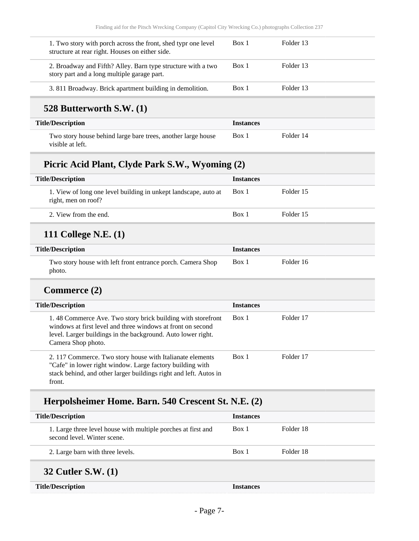| 1. Two story with porch across the front, shed type one level<br>structure at rear right. Houses on either side. | Box 1 | Folder 13 |
|------------------------------------------------------------------------------------------------------------------|-------|-----------|
| 2. Broadway and Fifth? Alley. Barn type structure with a two<br>story part and a long multiple garage part.      | Box 1 | Folder 13 |
| 3.811 Broadway. Brick apartment building in demolition.                                                          | Box 1 | Folder 13 |
|                                                                                                                  |       |           |

### **528 Butterworth S.W. (1)**

| <b>Title/Description</b>                                                         | <i><u><b>Instances</b></u></i> |           |
|----------------------------------------------------------------------------------|--------------------------------|-----------|
| Two story house behind large bare trees, another large house<br>visible at left. | Box 1                          | Folder 14 |

## **Picric Acid Plant, Clyde Park S.W., Wyoming (2)**

| <b>Title/Description</b>                                                               | <b>Instances</b> |           |
|----------------------------------------------------------------------------------------|------------------|-----------|
| 1. View of long one level building in unkept landscape, auto at<br>right, men on roof? | Box 1            | Folder 15 |
| 2. View from the end.                                                                  | Box 1            | Folder 15 |
|                                                                                        |                  |           |

## **111 College N.E. (1)**

| <b>Title/Description</b>                                              | <b>Instances</b> |           |
|-----------------------------------------------------------------------|------------------|-----------|
| Two story house with left front entrance porch. Camera Shop<br>photo. | Box 1            | Folder 16 |

#### **Commerce (2)**

| <b>Title/Description</b>                                                                                                                                                                                         | <b>Instances</b> |           |
|------------------------------------------------------------------------------------------------------------------------------------------------------------------------------------------------------------------|------------------|-----------|
| 1.48 Commerce Ave. Two story brick building with storefront<br>windows at first level and three windows at front on second<br>level. Larger buildings in the background. Auto lower right.<br>Camera Shop photo. | Box 1            | Folder 17 |
| 2. 117 Commerce. Two story house with Italianate elements<br>"Cafe" in lower right window. Large factory building with<br>stack behind, and other larger buildings right and left. Autos in<br>front.            | Box 1            | Folder 17 |

### **Herpolsheimer Home. Barn. 540 Crescent St. N.E. (2)**

| <b>Title/Description</b>                                                                     | <b>Instances</b> |           |
|----------------------------------------------------------------------------------------------|------------------|-----------|
| 1. Large three level house with multiple porches at first and<br>second level. Winter scene. | Box 1            | Folder 18 |
| 2. Large barn with three levels.                                                             | Box 1            | Folder 18 |
| <b>32 Cutler S.W. (1)</b>                                                                    |                  |           |
| <b>Title/Description</b>                                                                     | <b>Instances</b> |           |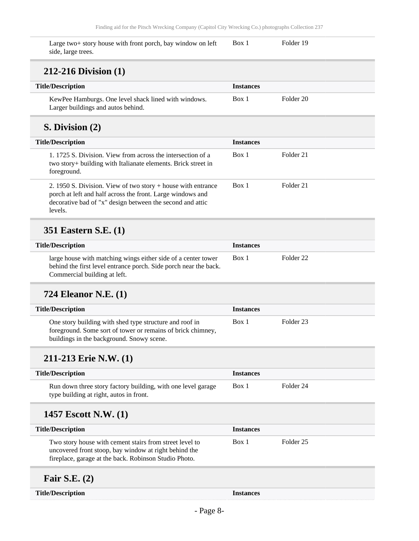Box 1 Folder 19

Large two+ story house with front porch, bay window on left side, large trees.

#### **212-216 Division (1)**

| <b>Title/Description</b>                             | <b>Instances</b> |           |  |
|------------------------------------------------------|------------------|-----------|--|
| KewPee Hamburgs. One level shack lined with windows. | Box 1            | Folder 20 |  |
| Larger buildings and autos behind.                   |                  |           |  |

#### **S. Division (2)**

| <b>Title/Description</b>                                                                                                                                                                             | <b>Instances</b> |           |
|------------------------------------------------------------------------------------------------------------------------------------------------------------------------------------------------------|------------------|-----------|
| 1. 1725 S. Division. View from across the intersection of a<br>two story+ building with Italianate elements. Brick street in<br>foreground.                                                          | Box 1            | Folder 21 |
| 2. 1950 S. Division. View of two story $+$ house with entrance<br>porch at left and half across the front. Large windows and<br>decorative bad of "x" design between the second and attic<br>levels. | Box 1            | Folder 21 |

#### **351 Eastern S.E. (1)**

| <b>Title/Description</b>                                                                                                                                          | <b>Instances</b> |           |
|-------------------------------------------------------------------------------------------------------------------------------------------------------------------|------------------|-----------|
| large house with matching wings either side of a center tower<br>behind the first level entrance porch. Side porch near the back.<br>Commercial building at left. | Box 1            | Folder 22 |

### **724 Eleanor N.E. (1)**

| <b>Title/Description</b>                                                                                                                                            | <b>Instances</b> |           |
|---------------------------------------------------------------------------------------------------------------------------------------------------------------------|------------------|-----------|
| One story building with shed type structure and roof in<br>foreground. Some sort of tower or remains of brick chimney,<br>buildings in the background. Snowy scene. | Box 1            | Folder 23 |

#### **211-213 Erie N.W. (1)**

| <b>Title/Description</b>                                                                                | <i><u><b>Instances</b></u></i> |           |
|---------------------------------------------------------------------------------------------------------|--------------------------------|-----------|
| Run down three story factory building, with one level garage<br>type building at right, autos in front. | Box 1                          | Folder 24 |

#### **1457 Escott N.W. (1)**

| <b>Title/Description</b>                                                                                                                                                  | <b>Instances</b> |           |
|---------------------------------------------------------------------------------------------------------------------------------------------------------------------------|------------------|-----------|
| Two story house with cement stairs from street level to<br>uncovered front stoop, bay window at right behind the<br>fireplace, garage at the back. Robinson Studio Photo. | Box 1            | Folder 25 |
| Fair S.E. $(2)$                                                                                                                                                           |                  |           |

**Title/Description Instances**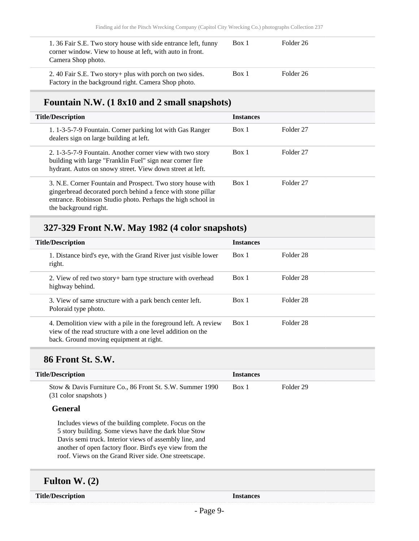| 1.36 Fair S.E. Two story house with side entrance left, funny<br>corner window. View to house at left, with auto in front.<br>Camera Shop photo. | Box 1 | Folder 26 |
|--------------------------------------------------------------------------------------------------------------------------------------------------|-------|-----------|
| 2.40 Fair S.E. Two story + plus with porch on two sides.<br>Factory in the background right. Camera Shop photo.                                  | Box 1 | Folder 26 |

### **Fountain N.W. (1 8x10 and 2 small snapshots)**

| <b>Title/Description</b>                                                                                                                                                                                           | <b>Instances</b> |                      |
|--------------------------------------------------------------------------------------------------------------------------------------------------------------------------------------------------------------------|------------------|----------------------|
| 1. 1-3-5-7-9 Fountain. Corner parking lot with Gas Ranger<br>dealers sign on large building at left.                                                                                                               | Box 1            | Folder 27            |
| 2. 1-3-5-7-9 Fountain. Another corner view with two story<br>building with large "Franklin Fuel" sign near corner fire<br>hydrant. Autos on snowy street. View down street at left.                                | Box 1            | Folder 27            |
| 3. N.E. Corner Fountain and Prospect. Two story house with<br>gingerbread decorated porch behind a fence with stone pillar<br>entrance. Robinson Studio photo. Perhaps the high school in<br>the background right. | Box 1            | Folder <sub>27</sub> |

## **327-329 Front N.W. May 1982 (4 color snapshots)**

| <b>Title/Description</b>                                                                                                                                                  | <b>Instances</b> |           |
|---------------------------------------------------------------------------------------------------------------------------------------------------------------------------|------------------|-----------|
| 1. Distance bird's eye, with the Grand River just visible lower<br>right.                                                                                                 | Box 1            | Folder 28 |
| 2. View of red two story + barn type structure with overhead<br>highway behind.                                                                                           | Box 1            | Folder 28 |
| 3. View of same structure with a park bench center left.<br>Poloraid type photo.                                                                                          | Box 1            | Folder 28 |
| 4. Demolition view with a pile in the foreground left. A review<br>view of the read structure with a one level addition on the<br>back. Ground moving equipment at right. | Box 1            | Folder 28 |

### **86 Front St. S.W.**

| <b>Title/Description</b>                                                                                                                                                                                                                                                                    | <b>Instances</b> |           |
|---------------------------------------------------------------------------------------------------------------------------------------------------------------------------------------------------------------------------------------------------------------------------------------------|------------------|-----------|
| Stow & Davis Furniture Co., 86 Front St. S.W. Summer 1990<br>(31 color snapshots)                                                                                                                                                                                                           | Box 1            | Folder 29 |
| <b>General</b>                                                                                                                                                                                                                                                                              |                  |           |
| Includes views of the building complete. Focus on the<br>5 story building. Some views have the dark blue Stow<br>Davis semi truck. Interior views of assembly line, and<br>another of open factory floor. Bird's eye view from the<br>roof. Views on the Grand River side. One streetscape. |                  |           |

### **Fulton W. (2)**

**Title/Description Instances**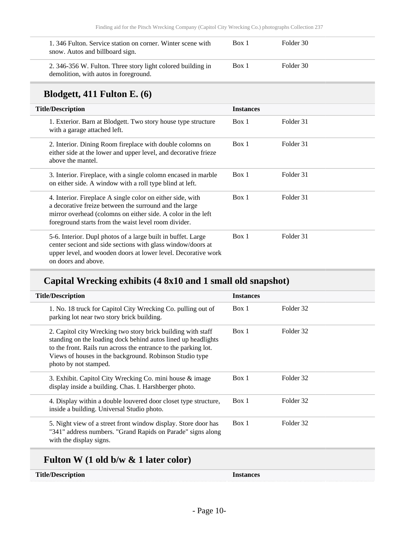| 1.346 Fulton. Service station on corner. Winter scene with<br>snow. Autos and billboard sign.        | Box 1 | Folder 30 |
|------------------------------------------------------------------------------------------------------|-------|-----------|
| 2. 346-356 W. Fulton. Three story light colored building in<br>demolition, with autos in foreground. | Box 1 | Folder 30 |

### **Blodgett, 411 Fulton E. (6)**

| <b>Title/Description</b>                                                                                                                                                                                                                     | <b>Instances</b> |           |  |  |
|----------------------------------------------------------------------------------------------------------------------------------------------------------------------------------------------------------------------------------------------|------------------|-----------|--|--|
| 1. Exterior. Barn at Blodgett. Two story house type structure<br>with a garage attached left.                                                                                                                                                | Box 1            | Folder 31 |  |  |
| 2. Interior. Dining Room fireplace with double colomns on<br>either side at the lower and upper level, and decorative frieze<br>above the mantel.                                                                                            | Box 1            | Folder 31 |  |  |
| 3. Interior. Fireplace, with a single colomn encased in marble<br>on either side. A window with a roll type blind at left.                                                                                                                   | Box 1            | Folder 31 |  |  |
| 4. Interior. Fireplace A single color on either side, with<br>a decorative freize between the surround and the large<br>mirror overhead (colomns on either side. A color in the left<br>foreground starts from the waist level room divider. | Box 1            | Folder 31 |  |  |
| 5-6. Interior. Dupl photos of a large built in buffet. Large<br>center seciont and side sections with glass window/doors at<br>upper level, and wooden doors at lower level. Decorative work<br>on doors and above.                          | Box 1            | Folder 31 |  |  |

### **Capital Wrecking exhibits (4 8x10 and 1 small old snapshot)**

| <b>Title/Description</b>                                                                                                                                                                                                                                                             | <b>Instances</b> |           |
|--------------------------------------------------------------------------------------------------------------------------------------------------------------------------------------------------------------------------------------------------------------------------------------|------------------|-----------|
| 1. No. 18 truck for Capitol City Wrecking Co. pulling out of<br>parking lot near two story brick building.                                                                                                                                                                           | Box 1            | Folder 32 |
| 2. Capitol city Wrecking two story brick building with staff<br>standing on the loading dock behind autos lined up headlights<br>to the front. Rails run across the entrance to the parking lot.<br>Views of houses in the background. Robinson Studio type<br>photo by not stamped. | Box 1            | Folder 32 |
| 3. Exhibit. Capitol City Wrecking Co. mini house & image<br>display inside a building. Chas. I. Harshberger photo.                                                                                                                                                                   | Box 1            | Folder 32 |
| 4. Display within a double louvered door closet type structure,<br>inside a building. Universal Studio photo.                                                                                                                                                                        | Box 1            | Folder 32 |
| 5. Night view of a street front window display. Store door has<br>"341" address numbers. "Grand Rapids on Parade" signs along<br>with the display signs.                                                                                                                             | Box 1            | Folder 32 |

## **Fulton W (1 old b/w & 1 later color)**

| <b>Title/Description</b> | Instances |
|--------------------------|-----------|
|                          |           |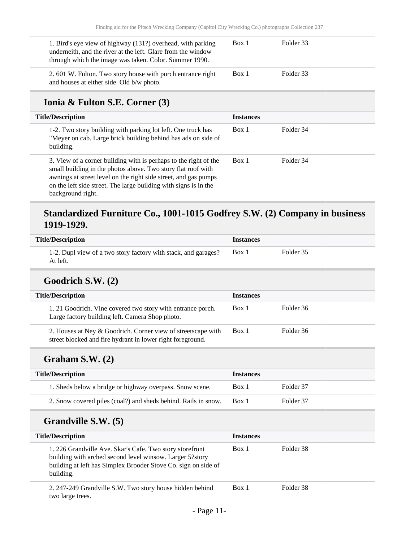| 1. Bird's eye view of highway (131?) overhead, with parking<br>underneith, and the river at the left. Glare from the window<br>through which the image was taken. Color. Summer 1990. | Box 1            | Folder 33 |  |
|---------------------------------------------------------------------------------------------------------------------------------------------------------------------------------------|------------------|-----------|--|
| 2.601 W. Fulton. Two story house with porch entrance right<br>and houses at either side. Old b/w photo.                                                                               | Box 1            | Folder 33 |  |
| Ionia & Fulton S.E. Corner (3)                                                                                                                                                        |                  |           |  |
| <b>Title/Description</b>                                                                                                                                                              | <b>Instances</b> |           |  |
| 1-2. Two story building with parking lot left. One truck has<br>"Meyer on cab. Large brick building behind has ads on side of                                                         | Box 1            | Folder 34 |  |

building. 3. View of a corner building with is perhaps to the right of the small building in the photos above. Two story flat roof with awnings at street level on the right side street, and gas pumps on the left side street. The large building with signs is in the background right. Box 1 Folder 34

#### **Standardized Furniture Co., 1001-1015 Godfrey S.W. (2) Company in business 1919-1929.**

| <b>Title/Description</b>                                                            | <b>Instances</b> |  |
|-------------------------------------------------------------------------------------|------------------|--|
| 1-2. Dupl view of a two story factory with stack, and garages?<br>Box 1<br>At left. | Folder 35        |  |

#### **Goodrich S.W. (2)**

| <b>Title/Description</b>                                                                                                   | <b>Instances</b> |           |
|----------------------------------------------------------------------------------------------------------------------------|------------------|-----------|
| 1.21 Goodrich. Vine covered two story with entrance porch.<br>Large factory building left. Camera Shop photo.              | Box 1            | Folder 36 |
| 2. Houses at Ney & Goodrich. Corner view of streetscape with<br>street blocked and fire hydrant in lower right foreground. | Box 1            | Folder 36 |

#### **Graham S.W. (2)**

| <b>Title/Description</b>                                       | <b>Instances</b> |           |
|----------------------------------------------------------------|------------------|-----------|
| 1. Sheds below a bridge or highway overpass. Snow scene.       | Box 1            | Folder 37 |
| 2. Snow covered piles (coal?) and sheds behind. Rails in snow. | Box 1            | Folder 37 |

#### **Grandville S.W. (5)**

| <b>Title/Description</b>                                                                                                                                                                            | <b>Instances</b> |           |
|-----------------------------------------------------------------------------------------------------------------------------------------------------------------------------------------------------|------------------|-----------|
| 1. 226 Grandville Ave. Skar's Cafe. Two story storefront<br>building with arched second level winsow. Larger 5?story<br>building at left has Simplex Brooder Stove Co. sign on side of<br>building. | Box 1            | Folder 38 |
| 2. 247-249 Grandville S.W. Two story house hidden behind<br>two large trees.                                                                                                                        | Box 1            | Folder 38 |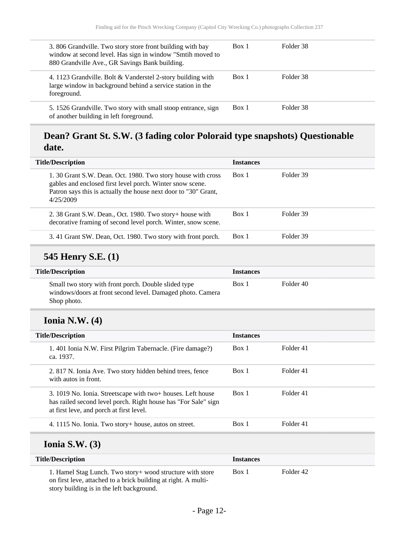| 3.806 Grandville. Two story store front building with bay<br>window at second level. Has sign in window "Smtih moved to<br>880 Grandville Ave., GR Savings Bank building. | Box 1 | Folder 38 |
|---------------------------------------------------------------------------------------------------------------------------------------------------------------------------|-------|-----------|
| 4. 1123 Grandville. Bolt & Vanderstel 2-story building with<br>large window in background behind a service station in the<br>foreground.                                  | Box 1 | Folder 38 |
| 5. 1526 Grandville. Two story with small stoop entrance, sign<br>of another building in left foreground.                                                                  | Box 1 | Folder 38 |

### **Dean? Grant St. S.W. (3 fading color Poloraid type snapshots) Questionable date.**

| <b>Title/Description</b>                                                                                                                                                                                 | <b>Instances</b> |                      |  |  |
|----------------------------------------------------------------------------------------------------------------------------------------------------------------------------------------------------------|------------------|----------------------|--|--|
| 1.30 Grant S.W. Dean. Oct. 1980. Two story house with cross<br>gables and enclosed first level porch. Winter snow scene.<br>Patron says this is actually the house next door to "30" Grant,<br>4/25/2009 | Box 1            | Folder 39            |  |  |
| 2. 38 Grant S.W. Dean., Oct. 1980. Two story+ house with<br>decorative framing of second level porch. Winter, snow scene.                                                                                | Box 1            | Folder 39            |  |  |
| 3.41 Grant SW. Dean, Oct. 1980. Two story with front porch.                                                                                                                                              | Box 1            | Folder 39            |  |  |
| <b>545 Henry S.E. (1)</b>                                                                                                                                                                                |                  |                      |  |  |
| <b>Title/Description</b>                                                                                                                                                                                 | <b>Instances</b> |                      |  |  |
| Small two story with front porch. Double slided type<br>windows/doors at front second level. Damaged photo. Camera<br>Shop photo.                                                                        | Box 1            | Folder 40            |  |  |
| Ionia N.W. $(4)$                                                                                                                                                                                         |                  |                      |  |  |
| <b>Title/Description</b>                                                                                                                                                                                 | <b>Instances</b> |                      |  |  |
| 1.401 Ionia N.W. First Pilgrim Tabernacle. (Fire damage?)<br>ca. 1937.                                                                                                                                   | Box 1            | Folder <sub>41</sub> |  |  |
| 2. 817 N. Ionia Ave. Two story hidden behind trees, fence                                                                                                                                                | Box 1            | Folder 41            |  |  |

| $\angle$ , 017 TV. TOMA $\triangle$ VC. TWO StOLY Mutuch Definite trees, reflect<br>with autos in front.                                                                  | 12VA 1 | 1 VIULI TI |
|---------------------------------------------------------------------------------------------------------------------------------------------------------------------------|--------|------------|
| 3. 1019 No. Ionia. Streetscape with two+ houses. Left house<br>has railed second level porch. Right house has "For Sale" sign<br>at first leve, and porch at first level. | Box 1  | Folder 41  |
| 4. 1115 No. Ionia. Two story+ house, autos on street.                                                                                                                     | Box 1  | Folder 41  |

#### **Ionia S.W. (3)**

| <b>Title/Description</b>                                                                                                                                                  | <b>Instances</b> |           |
|---------------------------------------------------------------------------------------------------------------------------------------------------------------------------|------------------|-----------|
| 1. Hamel Stag Lunch. Two story + wood structure with store<br>on first leve, attached to a brick building at right. A multi-<br>story building is in the left background. | Box 1            | Folder 42 |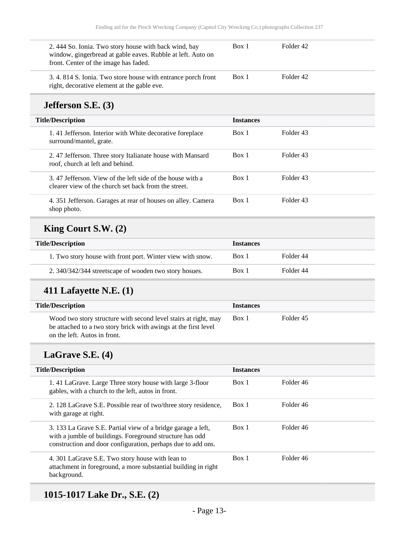| 2.444 So. Ionia. Two story house with back wind, bay<br>window, gingerbread at gable eaves. Rubble at left. Auto on<br>front. Center of the image has faded. | Box 1 | Folder 42 |  |
|--------------------------------------------------------------------------------------------------------------------------------------------------------------|-------|-----------|--|
| 3.4.814 S. Ionia. Two store house with entrance porch front<br>right, decorative element at the gable eve.                                                   | Box 1 | Folder 42 |  |

### **Jefferson S.E. (3)**

| <b>Title/Description</b> |                                                                                                                   | <b>Instances</b> |           |
|--------------------------|-------------------------------------------------------------------------------------------------------------------|------------------|-----------|
|                          | 1.41 Jefferson. Interior with White decorative foreplace<br>surround/mantel, grate.                               | Box 1            | Folder 43 |
|                          | 2.47 Jefferson. Three story Italianate house with Mansard<br>roof, church at left and behind.                     | Box 1            | Folder 43 |
|                          | 3.47 Jefferson. View of the left side of the house with a<br>clearer view of the church set back from the street. | Box 1            | Folder 43 |
|                          | 4. 351 Jefferson. Garages at rear of houses on alley. Camera<br>shop photo.                                       | Box 1            | Folder 43 |

## **King Court S.W. (2)**

| <b>Title/Description</b> |                                                            | <b>Instances</b> |           |
|--------------------------|------------------------------------------------------------|------------------|-----------|
|                          | 1. Two story house with front port. Winter view with snow. | Box 1            | Folder 44 |
|                          | 2. 340/342/344 streetscape of wooden two story hosues.     | Box 1            | Folder 44 |

## **411 Lafayette N.E. (1)**

| <b>Title/Description</b>                                                                                                                                           | <b>Instances</b> |           |
|--------------------------------------------------------------------------------------------------------------------------------------------------------------------|------------------|-----------|
| Wood two story structure with second level stairs at right, may<br>be attached to a two story brick with awings at the first level<br>on the left. Autos in front. | Box 1            | Folder 45 |

## **LaGrave S.E. (4)**

| <b>Title/Description</b>                                                                                                                                                                 | <b>Instances</b> |           |
|------------------------------------------------------------------------------------------------------------------------------------------------------------------------------------------|------------------|-----------|
| 1.41 LaGrave. Large Three story house with large 3-floor<br>gables, with a church to the left, autos in front.                                                                           | Box 1            | Folder 46 |
| 2. 128 LaGrave S.E. Possible rear of two/three story residence,<br>with garage at right.                                                                                                 | Box 1            | Folder 46 |
| 3. 133 La Grave S.E. Partial view of a bridge garage a left,<br>with a jumble of buildings. Foreground structure has odd<br>construction and door configuration, perhaps due to add ons. | Box 1            | Folder 46 |
| 4. 301 LaGrave S.E. Two story house with lean to<br>attachment in foreground, a more substantial building in right<br>background.                                                        | Box 1            | Folder 46 |

## **1015-1017 Lake Dr., S.E. (2)**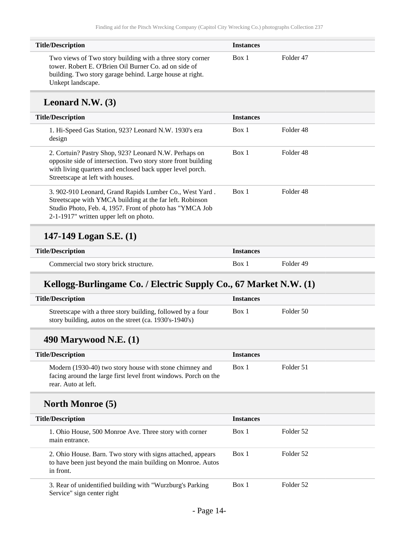| <b>Title/Description</b>                                                                                                                                                                            | <b>Instances</b> |           |  |
|-----------------------------------------------------------------------------------------------------------------------------------------------------------------------------------------------------|------------------|-----------|--|
| Two views of Two story building with a three story corner<br>tower. Robert E. O'Brien Oil Burner Co. ad on side of<br>building. Two story garage behind. Large house at right.<br>Unkept landscape. | Box 1            | Folder 47 |  |

#### **Leonard N.W. (3)**

| <b>Title/Description</b>                                                                                                                                                                                                  | <b>Instances</b> |           |
|---------------------------------------------------------------------------------------------------------------------------------------------------------------------------------------------------------------------------|------------------|-----------|
| 1. Hi-Speed Gas Station, 923? Leonard N.W. 1930's era<br>design                                                                                                                                                           | Box 1            | Folder 48 |
| 2. Cortuin? Pastry Shop, 923? Leonard N.W. Perhaps on<br>opposite side of intersection. Two story store front building<br>with living quarters and enclosed back upper level porch.<br>Streetscape at left with houses.   | Box 1            | Folder 48 |
| 3. 902-910 Leonard, Grand Rapids Lumber Co., West Yard.<br>Streetscape with YMCA building at the far left. Robinson<br>Studio Photo, Feb. 4, 1957. Front of photo has "YMCA Job<br>2-1-1917" written upper left on photo. | Box 1            | Folder 48 |

### **147-149 Logan S.E. (1)**

| <b>Title/Description</b>              | <i>Instances</i> |           |
|---------------------------------------|------------------|-----------|
| Commercial two story brick structure. | Box <sub>1</sub> | Folder 49 |

### **Kellogg-Burlingame Co. / Electric Supply Co., 67 Market N.W. (1)**

| <b>Title/Description</b>                                                                                                                          | <b>Instances</b> |           |
|---------------------------------------------------------------------------------------------------------------------------------------------------|------------------|-----------|
| Streetscape with a three story building, followed by a four<br>story building, autos on the street (ca. 1930's-1940's)                            | Box 1            | Folder 50 |
| 490 Marywood N.E. $(1)$                                                                                                                           |                  |           |
| <b>Title/Description</b>                                                                                                                          | <b>Instances</b> |           |
| Modern (1930-40) two story house with stone chimney and<br>facing around the large first level front windows. Porch on the<br>rear. Auto at left. | Box 1            | Folder 51 |
| <b>North Monroe</b> (5)                                                                                                                           |                  |           |
| <b>Title/Description</b>                                                                                                                          | <b>Instances</b> |           |
| 1. Ohio House, 500 Monroe Ave. Three story with corner<br>main entrance.                                                                          | Box 1            | Folder 52 |
| 2. Ohio House. Barn. Two story with signs attached, appears                                                                                       | Box 1            | Folder 52 |

3. Rear of unidentified building with "Wurzburg's Parking Service" sign center right Box 1 Folder 52

to have been just beyond the main building on Monroe. Autos

in front.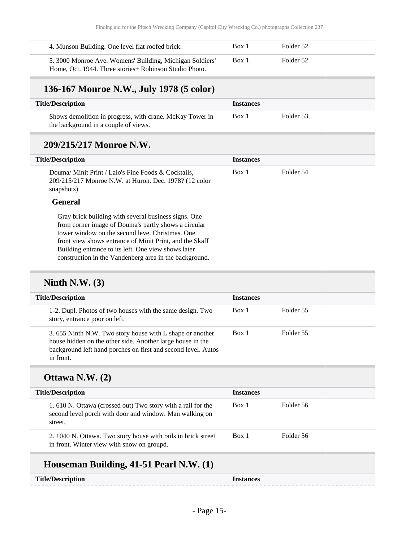| 4. Munson Building. One level flat roofed brick.                                                                    | Box 1 | Folder 52 |  |
|---------------------------------------------------------------------------------------------------------------------|-------|-----------|--|
| 5. 3000 Monroe Ave. Womens' Building, Michigan Soldiers'<br>Home, Oct. 1944. Three stories + Robinson Studio Photo. | Box 1 | Folder 52 |  |

## **136-167 Monroe N.W., July 1978 (5 color)**

| <b>Title/Description</b>                                 | <i>Instances</i> |           |  |
|----------------------------------------------------------|------------------|-----------|--|
| Shows demolition in progress, with crane. McKay Tower in | Box 1            | Folder 53 |  |
| the background in a couple of views.                     |                  |           |  |

#### **209/215/217 Monroe N.W.**

| <b>Title/Description</b>                                                                                                                                                                                                                                                          | <b>Instances</b> |           |
|-----------------------------------------------------------------------------------------------------------------------------------------------------------------------------------------------------------------------------------------------------------------------------------|------------------|-----------|
| Douma/Minit Print / Lalo's Fine Foods & Cocktails.<br>209/215/217 Monroe N.W. at Huron. Dec. 1978? (12 color<br>snapshots)                                                                                                                                                        | Box 1            | Folder 54 |
| <b>General</b>                                                                                                                                                                                                                                                                    |                  |           |
| Gray brick building with several business signs. One<br>from corner image of Douma's partly shows a circular<br>tower window on the second leve. Christmas. One<br>front view shows entrance of Minit Print, and the Skaff<br>Building entrance to its left. One view shows later |                  |           |
| construction in the Vandenberg area in the background.                                                                                                                                                                                                                            |                  |           |

### **Ninth N.W. (3)**

| <b>Title/Description</b>                                                                                                                                                                             | <b>Instances</b> |           |
|------------------------------------------------------------------------------------------------------------------------------------------------------------------------------------------------------|------------------|-----------|
| 1-2. Dupl. Photos of two houses with the same design. Two<br>story, entrance poor on left.                                                                                                           | Box 1            | Folder 55 |
| 3.655 Ninth N.W. Two story house with L shape or another<br>house hidden on the other side. Another large house in the<br>background left hand porches on first and second level. Autos<br>in front. | Box 1            | Folder 55 |

### **Ottawa N.W. (2)**

| <b>Title/Description</b>                                                                                                          | <b>Instances</b> |           |
|-----------------------------------------------------------------------------------------------------------------------------------|------------------|-----------|
| 1.610 N. Ottawa (crossed out) Two story with a rail for the<br>second level porch with door and window. Man walking on<br>street. | Box 1            | Folder 56 |
| 2. 1040 N. Ottawa. Two story house with rails in brick street<br>in front. Winter view with snow on groupd.                       | Box 1            | Folder 56 |
|                                                                                                                                   |                  |           |

### **Houseman Building, 41-51 Pearl N.W. (1)**

**Title/Description Instances**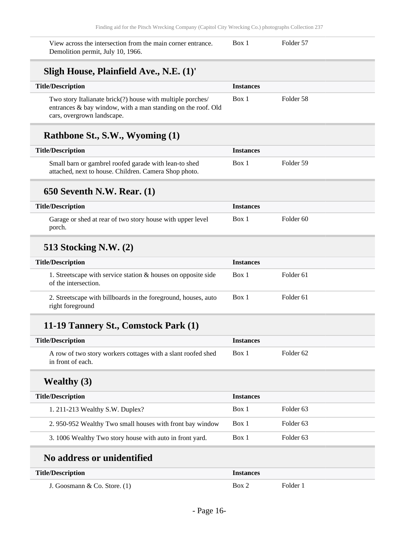| View across the intersection from the main corner entrance.<br>Demolition permit, July 10, 1966.                                                         | Box 1            | Folder 57            |
|----------------------------------------------------------------------------------------------------------------------------------------------------------|------------------|----------------------|
| Sligh House, Plainfield Ave., N.E. (1)'                                                                                                                  |                  |                      |
| <b>Title/Description</b>                                                                                                                                 | <b>Instances</b> |                      |
| Two story Italianate brick(?) house with multiple porches/<br>entrances & bay window, with a man standing on the roof. Old<br>cars, overgrown landscape. | Box 1            | Folder 58            |
| Rathbone St., S.W., Wyoming (1)                                                                                                                          |                  |                      |
| <b>Title/Description</b>                                                                                                                                 | <b>Instances</b> |                      |
| Small barn or gambrel roofed garade with lean-to shed<br>attached, next to house. Children. Camera Shop photo.                                           | Box 1            | Folder 59            |
| <b>650 Seventh N.W. Rear. (1)</b>                                                                                                                        |                  |                      |
| <b>Title/Description</b>                                                                                                                                 | <b>Instances</b> |                      |
| Garage or shed at rear of two story house with upper level<br>porch.                                                                                     | Box 1            | Folder <sub>60</sub> |
| <b>513 Stocking N.W. (2)</b>                                                                                                                             |                  |                      |
| <b>Title/Description</b>                                                                                                                                 | <b>Instances</b> |                      |
| 1. Streetscape with service station $\&$ houses on opposite side<br>of the intersection.                                                                 | Box 1            | Folder <sub>61</sub> |
| 2. Streetscape with billboards in the foreground, houses, auto<br>right foreground                                                                       | Box 1            | Folder 61            |
| 11-19 Tannery St., Comstock Park (1)                                                                                                                     |                  |                      |
| <b>Title/Description</b>                                                                                                                                 | <b>Instances</b> |                      |

| <b>THE Description</b>                                                            | <i><b>Instances</b></i> |                      |  |
|-----------------------------------------------------------------------------------|-------------------------|----------------------|--|
| A row of two story workers cottages with a slant roofed shed<br>in front of each. | Box 1                   | Folder <sub>62</sub> |  |

## **Wealthy (3)**

| <b>Title/Description</b>                                 | <b>Instances</b> |           |
|----------------------------------------------------------|------------------|-----------|
| 1. 211-213 Wealthy S.W. Duplex?                          | Box 1            | Folder 63 |
| 2.950-952 Wealthy Two small houses with front bay window | Box 1            | Folder 63 |
| 3. 1006 Wealthy Two story house with auto in front yard. | Box 1            | Folder 63 |

## **No address or unidentified**

| <b>Title/Description</b>       | <i><u><b>Instances</b></u></i> |          |
|--------------------------------|--------------------------------|----------|
| J. Goosmann & Co. Store. $(1)$ | Box 2                          | Folder 1 |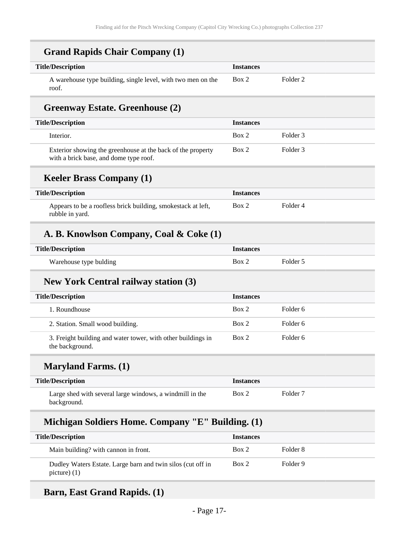| <b>Title/Description</b>                                                                                    | <b>Instances</b> |                     |
|-------------------------------------------------------------------------------------------------------------|------------------|---------------------|
| A warehouse type building, single level, with two men on the<br>roof.                                       | Box 2            | Folder <sub>2</sub> |
| <b>Greenway Estate. Greenhouse (2)</b>                                                                      |                  |                     |
| <b>Title/Description</b>                                                                                    | <b>Instances</b> |                     |
| Interior.                                                                                                   | Box 2            | Folder <sub>3</sub> |
| Exterior showing the greenhouse at the back of the property<br>with a brick base, and dome type roof.       | Box 2            | Folder <sub>3</sub> |
| <b>Keeler Brass Company (1)</b>                                                                             |                  |                     |
| <b>Title/Description</b>                                                                                    | <b>Instances</b> |                     |
| Appears to be a roofless brick building, smokestack at left,<br>rubble in yard.                             | Box 2            | Folder <sub>4</sub> |
| A. B. Knowlson Company, Coal & Coke (1)                                                                     |                  |                     |
| <b>Title/Description</b>                                                                                    | <b>Instances</b> |                     |
| Warehouse type bulding                                                                                      | Box 2            | Folder 5            |
|                                                                                                             |                  |                     |
| <b>New York Central railway station (3)</b>                                                                 |                  |                     |
|                                                                                                             | <b>Instances</b> |                     |
| 1. Roundhouse                                                                                               | Box 2            | Folder <sub>6</sub> |
| 2. Station. Small wood building.                                                                            | Box 2            | Folder <sub>6</sub> |
| <b>Title/Description</b><br>3. Freight building and water tower, with other buildings in<br>the background. | Box 2            | Folder <sub>6</sub> |
| <b>Maryland Farms.</b> (1)                                                                                  |                  |                     |
|                                                                                                             | <b>Instances</b> |                     |
| <b>Title/Description</b><br>Large shed with several large windows, a windmill in the<br>background.         | Box 2            | Folder <sub>7</sub> |
| Michigan Soldiers Home. Company "E" Building. (1)                                                           |                  |                     |
| <b>Title/Description</b>                                                                                    | <b>Instances</b> |                     |
| Main building? with cannon in front.                                                                        | Box 2            | Folder <sub>8</sub> |

## **Barn, East Grand Rapids. (1)**

picture) (1)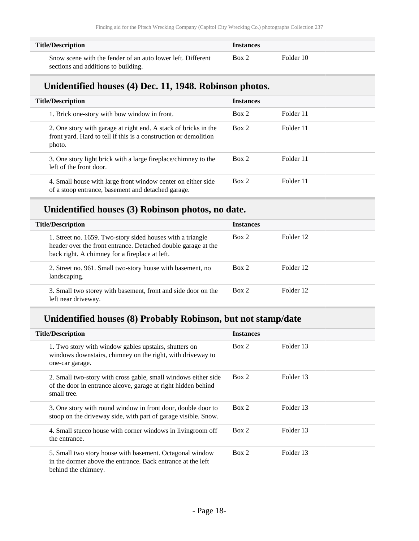| <b>Title/Description</b>                                    | <b>Instances</b> |           |  |
|-------------------------------------------------------------|------------------|-----------|--|
| Snow scene with the fender of an auto lower left. Different | Box 2            | Folder 10 |  |
| sections and additions to building.                         |                  |           |  |

#### **Unidentified houses (4) Dec. 11, 1948. Robinson photos.**

| <b>Title/Description</b>                                                                                                                      | <b>Instances</b> |           |
|-----------------------------------------------------------------------------------------------------------------------------------------------|------------------|-----------|
| 1. Brick one-story with bow window in front.                                                                                                  | Box 2            | Folder 11 |
| 2. One story with garage at right end. A stack of bricks in the<br>front yard. Hard to tell if this is a construction or demolition<br>photo. | Box 2            | Folder 11 |
| 3. One story light brick with a large fireplace/chimney to the<br>left of the front door.                                                     | Box 2            | Folder 11 |
| 4. Small house with large front window center on either side<br>of a stoop entrance, basement and detached garage.                            | Box 2            | Folder 11 |

#### **Unidentified houses (3) Robinson photos, no date.**

| <b>Title/Description</b>                                                                                                                                                      | <b>Instances</b> |           |
|-------------------------------------------------------------------------------------------------------------------------------------------------------------------------------|------------------|-----------|
| 1. Street no. 1659. Two-story sided houses with a triangle<br>header over the front entrance. Detached double garage at the<br>back right. A chimney for a fireplace at left. | Box 2            | Folder 12 |
| 2. Street no. 961. Small two-story house with basement, no<br>landscaping.                                                                                                    | Box 2            | Folder 12 |
| 3. Small two storey with basement, front and side door on the<br>left near driveway.                                                                                          | Box 2            | Folder 12 |

#### **Unidentified houses (8) Probably Robinson, but not stamp/date**

| <b>Title/Description</b>                                                                                                                       | <b>Instances</b> |           |
|------------------------------------------------------------------------------------------------------------------------------------------------|------------------|-----------|
| 1. Two story with window gables upstairs, shutters on<br>windows downstairs, chimney on the right, with driveway to<br>one-car garage.         | Box 2            | Folder 13 |
| 2. Small two-story with cross gable, small windows either side<br>of the door in entrance alcove, garage at right hidden behind<br>small tree. | Box 2            | Folder 13 |
| 3. One story with round window in front door, double door to<br>stoop on the driveway side, with part of garage visible. Snow.                 | Box 2            | Folder 13 |
| 4. Small stucco house with corner windows in living room off<br>the entrance.                                                                  | Box 2            | Folder 13 |
| 5. Small two story house with basement. Octagonal window<br>in the dormer above the entrance. Back entrance at the left<br>behind the chimney. | Box 2            | Folder 13 |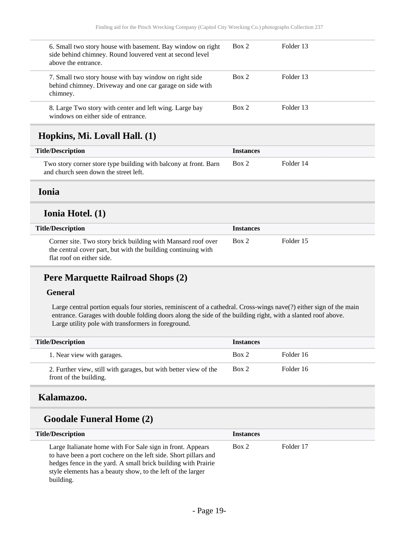<span id="page-18-0"></span>

| 6. Small two story house with basement. Bay window on right<br>side behind chimney. Round louvered vent at second level<br>above the entrance.             | Box 2            | Folder 13 |
|------------------------------------------------------------------------------------------------------------------------------------------------------------|------------------|-----------|
| 7. Small two story house with bay window on right side<br>behind chimney. Driveway and one car garage on side with<br>chimney.                             | Box 2            | Folder 13 |
| 8. Large Two story with center and left wing. Large bay<br>windows on either side of entrance.                                                             | Box 2            | Folder 13 |
| Hopkins, Mi. Lovall Hall. (1)                                                                                                                              |                  |           |
| <b>Title/Description</b>                                                                                                                                   | <b>Instances</b> |           |
| Two story corner store type building with balcony at front. Barn<br>and church seen down the street left.                                                  | Box 2            | Folder 14 |
| <b>Ionia</b>                                                                                                                                               |                  |           |
| Ionia Hotel. (1)                                                                                                                                           |                  |           |
| <b>Title/Description</b>                                                                                                                                   | <b>Instances</b> |           |
| Corner site. Two story brick building with Mansard roof over<br>the central cover part, but with the building continuing with<br>flat roof on either side. | Box 2            | Folder 15 |

#### <span id="page-18-1"></span>**Pere Marquette Railroad Shops (2)**

#### **General**

Large central portion equals four stories, reminiscent of a cathedral. Cross-wings nave(?) either sign of the main entrance. Garages with double folding doors along the side of the building right, with a slanted roof above. Large utility pole with transformers in foreground.

| <b>Title/Description</b>                                                                   | <b>Instances</b> |           |
|--------------------------------------------------------------------------------------------|------------------|-----------|
| 1. Near view with garages.                                                                 | Box 2            | Folder 16 |
| 2. Further view, still with garages, but with better view of the<br>front of the building. | Box 2            | Folder 16 |

#### <span id="page-18-2"></span>**Kalamazoo.**

### **Goodale Funeral Home (2)**

| <b>Title/Description</b>                                                                                                                                                                                                                                                   | <b>Instances</b> |           |
|----------------------------------------------------------------------------------------------------------------------------------------------------------------------------------------------------------------------------------------------------------------------------|------------------|-----------|
| Large Italianate home with For Sale sign in front. Appears<br>to have been a port cochere on the left side. Short pillars and<br>hedges fence in the yard. A small brick building with Prairie<br>style elements has a beauty show, to the left of the larger<br>building. | Box 2            | Folder 17 |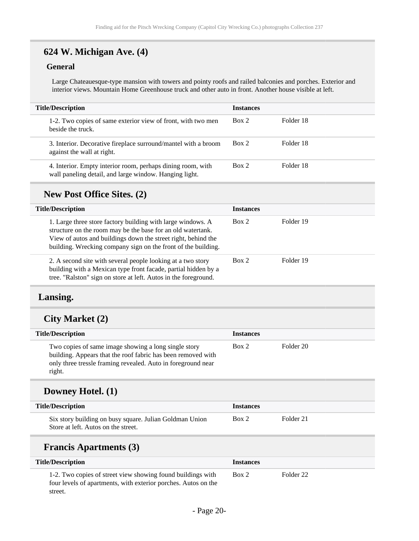## **624 W. Michigan Ave. (4)**

#### **General**

Large Chateauesque-type mansion with towers and pointy roofs and railed balconies and porches. Exterior and interior views. Mountain Home Greenhouse truck and other auto in front. Another house visible at left.

| <b>Title/Description</b>                                                                                              | <b>Instances</b> |           |  |
|-----------------------------------------------------------------------------------------------------------------------|------------------|-----------|--|
| 1-2. Two copies of same exterior view of front, with two men<br>beside the truck.                                     | Box 2            | Folder 18 |  |
| 3. Interior. Decorative fireplace surround/mantel with a broom<br>against the wall at right.                          | Box 2            | Folder 18 |  |
| 4. Interior. Empty interior room, perhaps dining room, with<br>wall paneling detail, and large window. Hanging light. | Box 2            | Folder 18 |  |

#### **New Post Office Sites. (2)**

| <b>Title/Description</b>                                                                                                                                                                                                                                     | <b>Instances</b> |           |
|--------------------------------------------------------------------------------------------------------------------------------------------------------------------------------------------------------------------------------------------------------------|------------------|-----------|
| 1. Large three store factory building with large windows. A<br>structure on the room may be the base for an old watertank.<br>View of autos and buildings down the street right, behind the<br>building. Wrecking company sign on the front of the building. | Box 2            | Folder 19 |
| 2. A second site with several people looking at a two story<br>building with a Mexican type front facade, partial hidden by a<br>tree. "Ralston" sign on store at left. Autos in the foreground.                                                             | Box 2            | Folder 19 |

#### <span id="page-19-0"></span>**Lansing.**

#### **City Market (2)**

| <b>Title/Description</b>                                                                                                                                                                       | <b>Instances</b> |           |
|------------------------------------------------------------------------------------------------------------------------------------------------------------------------------------------------|------------------|-----------|
| Two copies of same image showing a long single story<br>building. Appears that the roof fabric has been removed with<br>only three tressle framing revealed. Auto in foreground near<br>right. | Box 2            | Folder 20 |

#### **Downey Hotel. (1)**

| <b>Title/Description</b>                                                                       | <i><u><b>Instances</b></u></i> |           |
|------------------------------------------------------------------------------------------------|--------------------------------|-----------|
| Six story building on busy square. Julian Goldman Union<br>Store at left. Autos on the street. | Box 2                          | Folder 21 |

#### **Francis Apartments (3)**

| <b>Title/Description</b>                                                                                                                 | <b>Instances</b> |           |  |
|------------------------------------------------------------------------------------------------------------------------------------------|------------------|-----------|--|
| 1-2. Two copies of street view showing found buildings with<br>four levels of apartments, with exterior porches. Autos on the<br>street. | Box 2            | Folder 22 |  |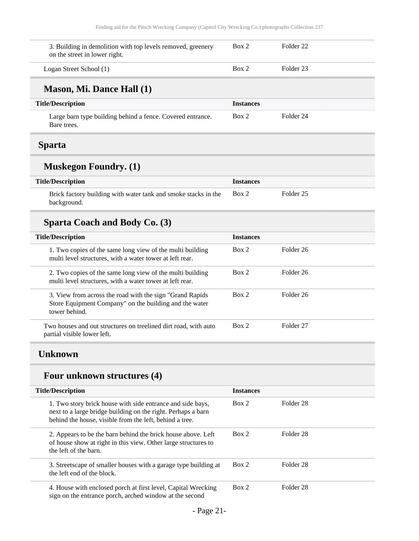<span id="page-20-0"></span>

| 3. Building in demolition with top levels removed, greenery<br>on the street in lower right.                                                                                          | Box 2            | Folder <sub>22</sub> |  |
|---------------------------------------------------------------------------------------------------------------------------------------------------------------------------------------|------------------|----------------------|--|
| Logan Street School (1)                                                                                                                                                               | Box 2            | Folder <sub>23</sub> |  |
| Mason, Mi. Dance Hall (1)                                                                                                                                                             |                  |                      |  |
| <b>Title/Description</b>                                                                                                                                                              | <b>Instances</b> |                      |  |
| Large barn type building behind a fence. Covered entrance.<br>Bare trees.                                                                                                             | Box 2            | Folder <sub>24</sub> |  |
| <b>Sparta</b>                                                                                                                                                                         |                  |                      |  |
| <b>Muskegon Foundry.</b> (1)                                                                                                                                                          |                  |                      |  |
| <b>Title/Description</b>                                                                                                                                                              | <b>Instances</b> |                      |  |
| Brick factory building with water tank and smoke stacks in the<br>background.                                                                                                         | Box 2            | Folder <sub>25</sub> |  |
| <b>Sparta Coach and Body Co. (3)</b>                                                                                                                                                  |                  |                      |  |
| <b>Title/Description</b>                                                                                                                                                              | <b>Instances</b> |                      |  |
| 1. Two copies of the same long view of the multi building<br>multi level structures, with a water tower at left rear.                                                                 | Box 2            | Folder <sub>26</sub> |  |
| 2. Two copies of the same long view of the multi building<br>multi level structures, with a water tower at left rear.                                                                 | Box 2            | Folder <sub>26</sub> |  |
| 3. View from across the road with the sign "Grand Rapids<br>Store Equipment Company" on the building and the water<br>tower behind.                                                   | Box 2            | Folder <sub>26</sub> |  |
| Two houses and out structures on treelined dirt road, with auto<br>partial visible lower left.                                                                                        | Box 2            | Folder <sub>27</sub> |  |
| <b>Unknown</b>                                                                                                                                                                        |                  |                      |  |
| Four unknown structures (4)                                                                                                                                                           |                  |                      |  |
| <b>Title/Description</b>                                                                                                                                                              | <b>Instances</b> |                      |  |
| 1. Two story brick house with side entrance and side bays,<br>next to a large bridge building on the right. Perhaps a barn<br>behind the house, visible from the left, behind a tree. | Box 2            | Folder <sub>28</sub> |  |
| 2. Appears to be the barn behind the brick house above. Left<br>of house show at right in this view. Other large structures to<br>the left of the barn.                               | Box 2            | Folder <sub>28</sub> |  |
| 3. Streetscape of smaller houses with a garage type building at                                                                                                                       | Box 2            | Folder <sub>28</sub> |  |

<span id="page-20-1"></span>the left end of the block. 4. House with enclosed porch at first level, Capital Wrecking sign on the entrance porch, arched window at the second Box 2 Folder 28